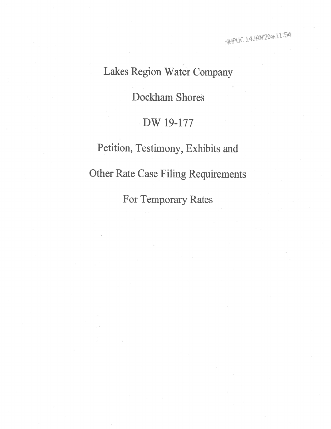## Lakes Region Water Company

Dockham Shores

## DW 19-177

Petition, Testimony, Exhibits and Other Rate Case Filing Requirements For Temporary Rates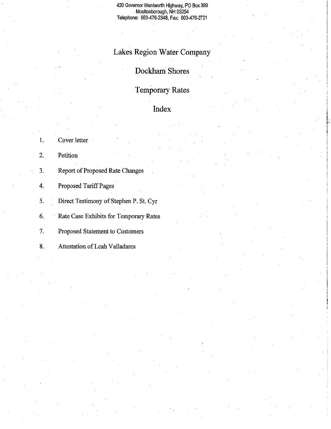420 Governor Wentworth Highway, PO Box 389 . Moultonborough, NH 03254 Telephone: 603-476-2348, Fax: 603-476-2721

## **Lakes Region Water Company**

**Dockham Shores** 

**Temporary Rates** 

**Index** 

i |<br>|r<br>Till<br>Till

1. 2. 3. 4. 5. Cover letter Petition Report of Proposed Rate Changes Proposed Tariff Pages Direct Testimony of Stephen P. St. Cyr

6. Rate Case Exhibits for Temporary Rates

7. Proposed Statement to Customers

8. Attestation of Leah Valladares